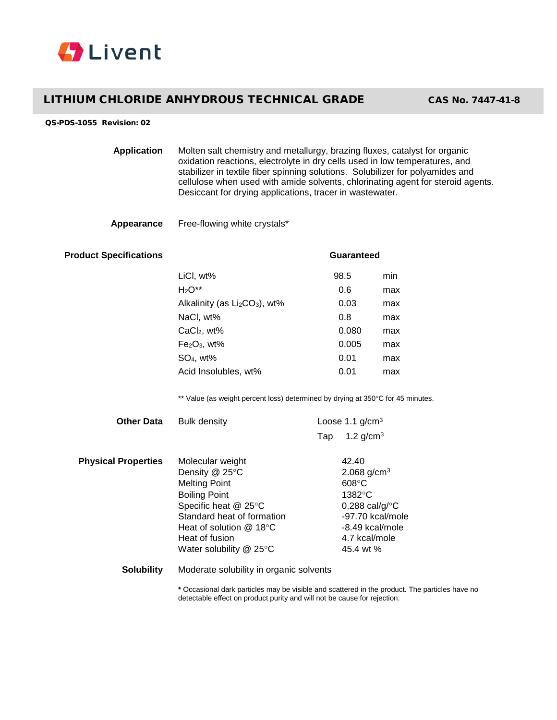

## LITHIUM CHLORIDE ANHYDROUS TECHNICAL GRADE CAS No. 7447-41-8

## QS-PDS-1055 Revision: 02

| <b>Application</b> | Molten salt chemistry and metallurgy, brazing fluxes, catalyst for organic<br>oxidation reactions, electrolyte in dry cells used in low temperatures, and<br>stabilizer in textile fiber spinning solutions. Solubilizer for polyamides and<br>cellulose when used with amide solvents, chlorinating agent for steroid agents.<br>Desiccant for drying applications, tracer in wastewater. |
|--------------------|--------------------------------------------------------------------------------------------------------------------------------------------------------------------------------------------------------------------------------------------------------------------------------------------------------------------------------------------------------------------------------------------|
|--------------------|--------------------------------------------------------------------------------------------------------------------------------------------------------------------------------------------------------------------------------------------------------------------------------------------------------------------------------------------------------------------------------------------|

## **Appearance** Free-flowing white crystals\*

| <b>Product Specifications</b> |                                                                                 | <b>Guaranteed</b> |                           |     |  |
|-------------------------------|---------------------------------------------------------------------------------|-------------------|---------------------------|-----|--|
|                               | LiCI, wt%                                                                       |                   | 98.5                      | min |  |
|                               | $H_2O^{**}$                                                                     |                   | 0.6                       | max |  |
|                               | Alkalinity (as Li <sub>2</sub> CO <sub>3</sub> ), wt%                           |                   | 0.03                      | max |  |
|                               | NaCl, wt%                                                                       |                   | 0.8                       | max |  |
|                               | $CaCl2$ , wt%                                                                   |                   | 0.080                     | max |  |
|                               | Fe2O <sub>3</sub> , wt%                                                         |                   | 0.005                     | max |  |
|                               | $SO4$ , wt%                                                                     |                   | 0.01                      | max |  |
|                               | Acid Insolubles, wt%                                                            |                   | 0.01                      | max |  |
|                               | ** Value (as weight percent loss) determined by drying at 350°C for 45 minutes. |                   |                           |     |  |
| <b>Other Data</b>             | <b>Bulk density</b>                                                             |                   | Loose 1.1 $g/cm3$         |     |  |
|                               |                                                                                 | Tap               | 1.2 $g/cm^{3}$            |     |  |
| <b>Physical Properties</b>    | Molecular weight                                                                |                   | 42.40                     |     |  |
|                               | Density @ 25°C<br><b>Melting Point</b>                                          |                   | 2.068 $g/cm^{3}$<br>608°C |     |  |
|                               | <b>Boiling Point</b>                                                            |                   | 1382°C                    |     |  |
|                               | Specific heat @ 25°C                                                            |                   | 0.288 cal/g/ $\degree$ C  |     |  |
|                               | Standard heat of formation                                                      |                   | -97.70 kcal/mole          |     |  |
|                               | Heat of solution @ 18°C                                                         |                   | -8.49 kcal/mole           |     |  |
|                               | Heat of fusion                                                                  |                   | 4.7 kcal/mole             |     |  |

**Solubility** Moderate solubility in organic solvents

Water solubility @ 25°C 45.4 wt %

**\*** Occasional dark particles may be visible and scattered in the product. The particles have no detectable effect on product purity and will not be cause for rejection.